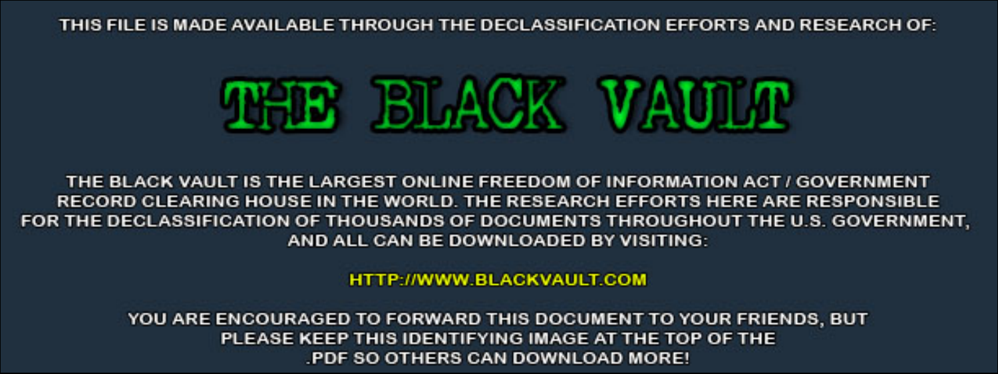THIS FILE IS MADE AVAILABLE THROUGH THE DECLASSIFICATION EFFORTS AND RESEARCH OF:



THE BLACK VAULT IS THE LARGEST ONLINE FREEDOM OF INFORMATION ACT / GOVERNMENT RECORD CLEARING HOUSE IN THE WORLD. THE RESEARCH EFFORTS HERE ARE RESPONSIBLE FOR THE DECLASSIFICATION OF THOUSANDS OF DOCUMENTS THROUGHOUT THE U.S. GOVERNMENT, AND ALL CAN BE DOWNLOADED BY VISITING:

**HTTP://WWW.BLACKVAULT.COM** 

YOU ARE ENCOURAGED TO FORWARD THIS DOCUMENT TO YOUR FRIENDS, BUT PLEASE KEEP THIS IDENTIFYING IMAGE AT THE TOP OF THE PDF SO OTHERS CAN DOWNLOAD MORE!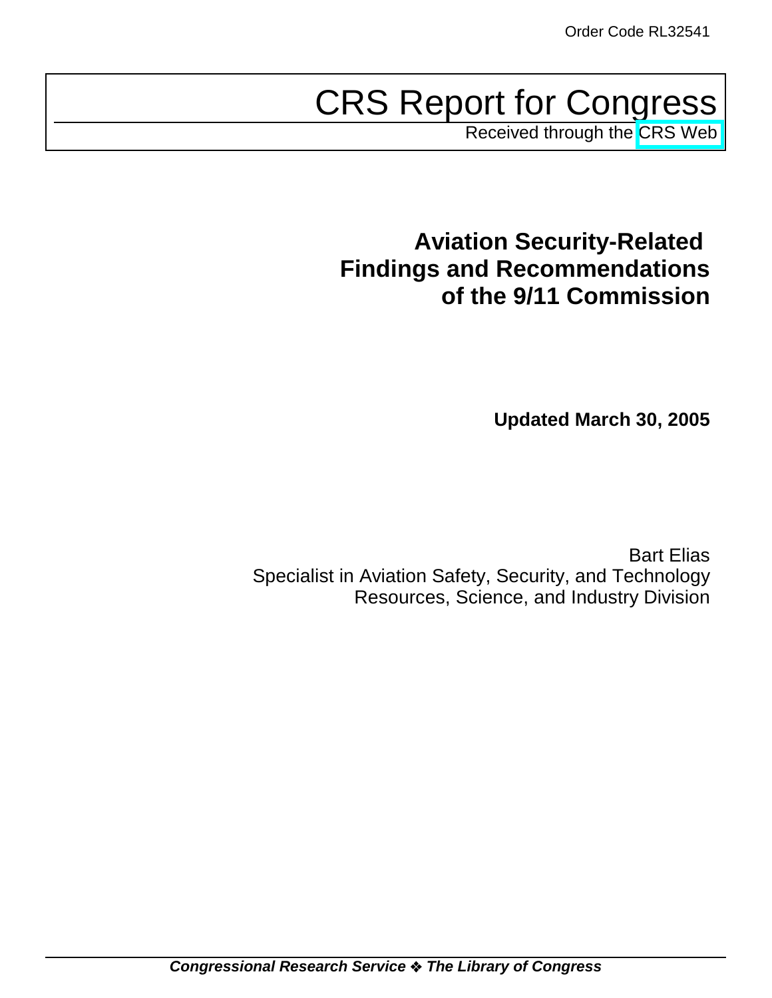# CRS Report for Congress

Received through the [CRS Web](http://www.fas.org/sgp/crs/homesec/index.html)

# **Aviation Security-Related Findings and Recommendations of the 9/11 Commission**

**Updated March 30, 2005**

Bart Elias Specialist in Aviation Safety, Security, and Technology Resources, Science, and Industry Division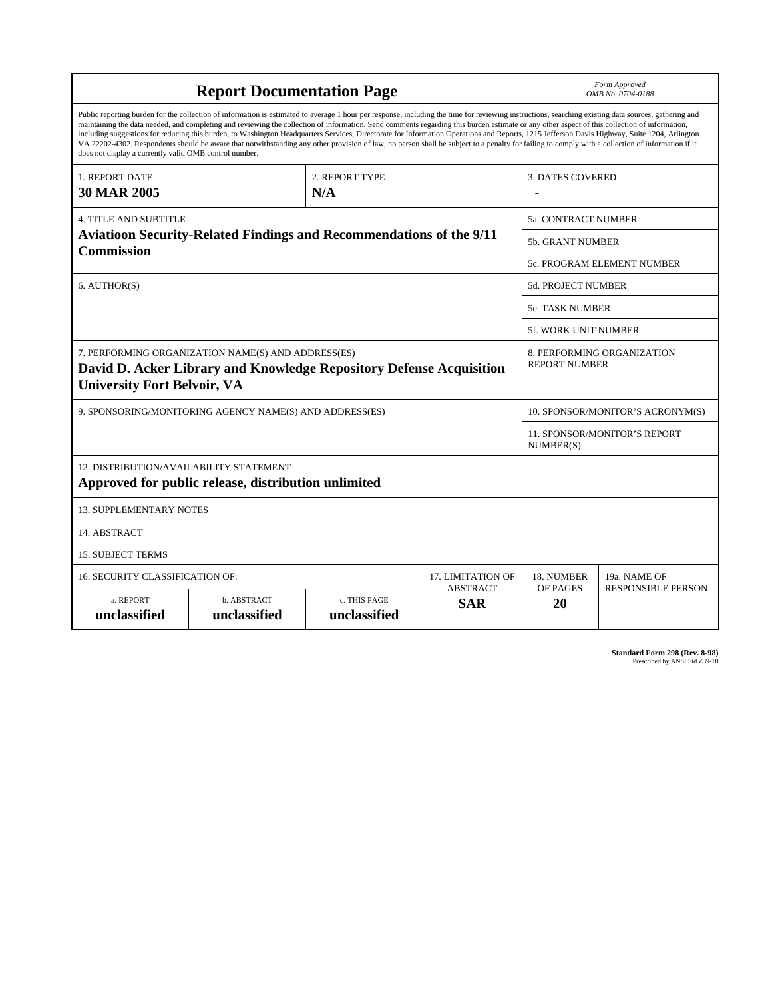| <b>Report Documentation Page</b>                                                                                                                                                                                                                                                                                                                                                                                                                                                                                                                                                                                                                                                                                                                                                                                                                                   |                             |                              |                               | Form Approved<br>OMB No. 0704-0188                 |                           |  |
|--------------------------------------------------------------------------------------------------------------------------------------------------------------------------------------------------------------------------------------------------------------------------------------------------------------------------------------------------------------------------------------------------------------------------------------------------------------------------------------------------------------------------------------------------------------------------------------------------------------------------------------------------------------------------------------------------------------------------------------------------------------------------------------------------------------------------------------------------------------------|-----------------------------|------------------------------|-------------------------------|----------------------------------------------------|---------------------------|--|
| Public reporting burden for the collection of information is estimated to average 1 hour per response, including the time for reviewing instructions, searching existing data sources, gathering and<br>maintaining the data needed, and completing and reviewing the collection of information. Send comments regarding this burden estimate or any other aspect of this collection of information,<br>including suggestions for reducing this burden, to Washington Headquarters Services, Directorate for Information Operations and Reports, 1215 Jefferson Davis Highway, Suite 1204, Arlington<br>VA 22202-4302. Respondents should be aware that notwithstanding any other provision of law, no person shall be subject to a penalty for failing to comply with a collection of information if it<br>does not display a currently valid OMB control number. |                             |                              |                               |                                                    |                           |  |
| 1. REPORT DATE                                                                                                                                                                                                                                                                                                                                                                                                                                                                                                                                                                                                                                                                                                                                                                                                                                                     | 2. REPORT TYPE              |                              |                               | <b>3. DATES COVERED</b>                            |                           |  |
| <b>30 MAR 2005</b>                                                                                                                                                                                                                                                                                                                                                                                                                                                                                                                                                                                                                                                                                                                                                                                                                                                 |                             | N/A                          |                               |                                                    |                           |  |
| <b>4. TITLE AND SUBTITLE</b>                                                                                                                                                                                                                                                                                                                                                                                                                                                                                                                                                                                                                                                                                                                                                                                                                                       |                             |                              |                               | <b>5a. CONTRACT NUMBER</b>                         |                           |  |
| <b>Aviatioon Security-Related Findings and Recommendations of the 9/11</b><br><b>Commission</b>                                                                                                                                                                                                                                                                                                                                                                                                                                                                                                                                                                                                                                                                                                                                                                    |                             |                              |                               | 5b. GRANT NUMBER                                   |                           |  |
|                                                                                                                                                                                                                                                                                                                                                                                                                                                                                                                                                                                                                                                                                                                                                                                                                                                                    |                             |                              |                               | 5c. PROGRAM ELEMENT NUMBER                         |                           |  |
| 6. AUTHOR(S)                                                                                                                                                                                                                                                                                                                                                                                                                                                                                                                                                                                                                                                                                                                                                                                                                                                       |                             |                              |                               | <b>5d. PROJECT NUMBER</b>                          |                           |  |
|                                                                                                                                                                                                                                                                                                                                                                                                                                                                                                                                                                                                                                                                                                                                                                                                                                                                    |                             |                              |                               | <b>5e. TASK NUMBER</b>                             |                           |  |
|                                                                                                                                                                                                                                                                                                                                                                                                                                                                                                                                                                                                                                                                                                                                                                                                                                                                    |                             |                              |                               | <b>5f. WORK UNIT NUMBER</b>                        |                           |  |
| 7. PERFORMING ORGANIZATION NAME(S) AND ADDRESS(ES)<br>David D. Acker Library and Knowledge Repository Defense Acquisition<br><b>University Fort Belvoir, VA</b>                                                                                                                                                                                                                                                                                                                                                                                                                                                                                                                                                                                                                                                                                                    |                             |                              |                               | 8. PERFORMING ORGANIZATION<br><b>REPORT NUMBER</b> |                           |  |
| 9. SPONSORING/MONITORING AGENCY NAME(S) AND ADDRESS(ES)                                                                                                                                                                                                                                                                                                                                                                                                                                                                                                                                                                                                                                                                                                                                                                                                            |                             |                              |                               | 10. SPONSOR/MONITOR'S ACRONYM(S)                   |                           |  |
|                                                                                                                                                                                                                                                                                                                                                                                                                                                                                                                                                                                                                                                                                                                                                                                                                                                                    |                             |                              |                               | <b>11. SPONSOR/MONITOR'S REPORT</b><br>NUMBER(S)   |                           |  |
| 12. DISTRIBUTION/AVAILABILITY STATEMENT<br>Approved for public release, distribution unlimited                                                                                                                                                                                                                                                                                                                                                                                                                                                                                                                                                                                                                                                                                                                                                                     |                             |                              |                               |                                                    |                           |  |
| <b>13. SUPPLEMENTARY NOTES</b>                                                                                                                                                                                                                                                                                                                                                                                                                                                                                                                                                                                                                                                                                                                                                                                                                                     |                             |                              |                               |                                                    |                           |  |
| 14. ABSTRACT                                                                                                                                                                                                                                                                                                                                                                                                                                                                                                                                                                                                                                                                                                                                                                                                                                                       |                             |                              |                               |                                                    |                           |  |
| <b>15. SUBJECT TERMS</b>                                                                                                                                                                                                                                                                                                                                                                                                                                                                                                                                                                                                                                                                                                                                                                                                                                           |                             |                              |                               |                                                    |                           |  |
| <b>16. SECURITY CLASSIFICATION OF:</b>                                                                                                                                                                                                                                                                                                                                                                                                                                                                                                                                                                                                                                                                                                                                                                                                                             |                             |                              | 17. LIMITATION OF             | 18. NUMBER                                         | 19a. NAME OF              |  |
| a. REPORT<br>unclassified                                                                                                                                                                                                                                                                                                                                                                                                                                                                                                                                                                                                                                                                                                                                                                                                                                          | b. ABSTRACT<br>unclassified | c. THIS PAGE<br>unclassified | <b>ABSTRACT</b><br><b>SAR</b> | OF PAGES<br>20                                     | <b>RESPONSIBLE PERSON</b> |  |

**Standard Form 298 (Rev. 8-98)**<br>Prescribed by ANSI Std Z39-18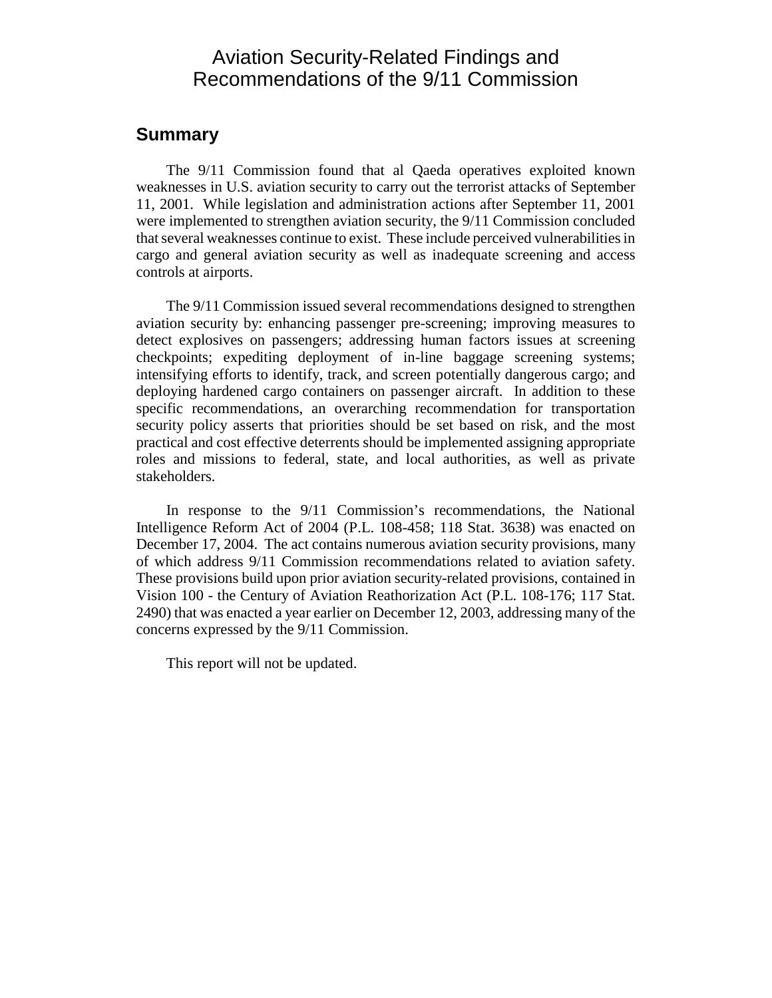# Aviation Security-Related Findings and Recommendations of the 9/11 Commission

#### **Summary**

The 9/11 Commission found that al Qaeda operatives exploited known weaknesses in U.S. aviation security to carry out the terrorist attacks of September 11, 2001. While legislation and administration actions after September 11, 2001 were implemented to strengthen aviation security, the 9/11 Commission concluded that several weaknesses continue to exist. These include perceived vulnerabilities in cargo and general aviation security as well as inadequate screening and access controls at airports.

The 9/11 Commission issued several recommendations designed to strengthen aviation security by: enhancing passenger pre-screening; improving measures to detect explosives on passengers; addressing human factors issues at screening checkpoints; expediting deployment of in-line baggage screening systems; intensifying efforts to identify, track, and screen potentially dangerous cargo; and deploying hardened cargo containers on passenger aircraft. In addition to these specific recommendations, an overarching recommendation for transportation security policy asserts that priorities should be set based on risk, and the most practical and cost effective deterrents should be implemented assigning appropriate roles and missions to federal, state, and local authorities, as well as private stakeholders.

In response to the 9/11 Commission's recommendations, the National Intelligence Reform Act of 2004 (P.L. 108-458; 118 Stat. 3638) was enacted on December 17, 2004. The act contains numerous aviation security provisions, many of which address 9/11 Commission recommendations related to aviation safety. These provisions build upon prior aviation security-related provisions, contained in Vision 100 - the Century of Aviation Reathorization Act (P.L. 108-176; 117 Stat. 2490) that was enacted a year earlier on December 12, 2003, addressing many of the concerns expressed by the 9/11 Commission.

This report will not be updated.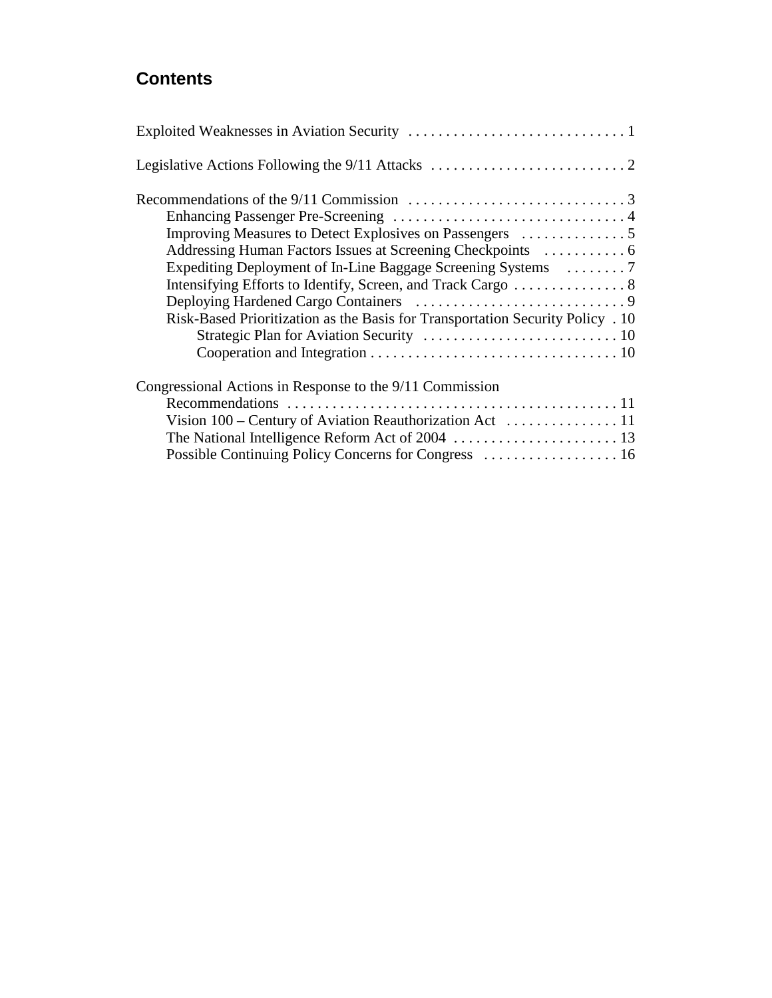# **Contents**

| Risk-Based Prioritization as the Basis for Transportation Security Policy . 10                                                                    |
|---------------------------------------------------------------------------------------------------------------------------------------------------|
| Congressional Actions in Response to the 9/11 Commission<br>Vision $100$ – Century of Aviation Reauthorization Act $\dots\dots\dots\dots\dots 11$ |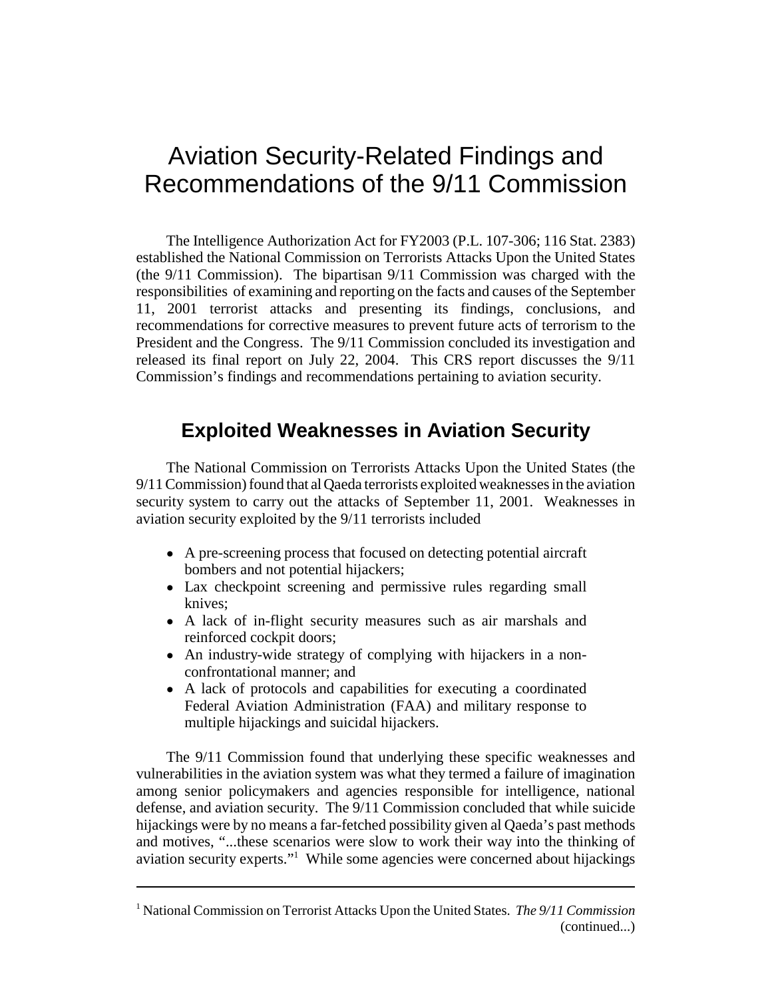# Aviation Security-Related Findings and Recommendations of the 9/11 Commission

The Intelligence Authorization Act for FY2003 (P.L. 107-306; 116 Stat. 2383) established the National Commission on Terrorists Attacks Upon the United States (the 9/11 Commission). The bipartisan 9/11 Commission was charged with the responsibilities of examining and reporting on the facts and causes of the September 11, 2001 terrorist attacks and presenting its findings, conclusions, and recommendations for corrective measures to prevent future acts of terrorism to the President and the Congress. The 9/11 Commission concluded its investigation and released its final report on July 22, 2004. This CRS report discusses the 9/11 Commission's findings and recommendations pertaining to aviation security.

# **Exploited Weaknesses in Aviation Security**

The National Commission on Terrorists Attacks Upon the United States (the 9/11 Commission) found that al Qaeda terrorists exploited weaknesses in the aviation security system to carry out the attacks of September 11, 2001. Weaknesses in aviation security exploited by the 9/11 terrorists included

- A pre-screening process that focused on detecting potential aircraft bombers and not potential hijackers;
- Lax checkpoint screening and permissive rules regarding small knives;
- A lack of in-flight security measures such as air marshals and reinforced cockpit doors;
- An industry-wide strategy of complying with hijackers in a nonconfrontational manner; and
- ! A lack of protocols and capabilities for executing a coordinated Federal Aviation Administration (FAA) and military response to multiple hijackings and suicidal hijackers.

The 9/11 Commission found that underlying these specific weaknesses and vulnerabilities in the aviation system was what they termed a failure of imagination among senior policymakers and agencies responsible for intelligence, national defense, and aviation security. The 9/11 Commission concluded that while suicide hijackings were by no means a far-fetched possibility given al Qaeda's past methods and motives, "...these scenarios were slow to work their way into the thinking of aviation security experts."<sup>1</sup> While some agencies were concerned about hijackings

<sup>1</sup> National Commission on Terrorist Attacks Upon the United States. *The 9/11 Commission* (continued...)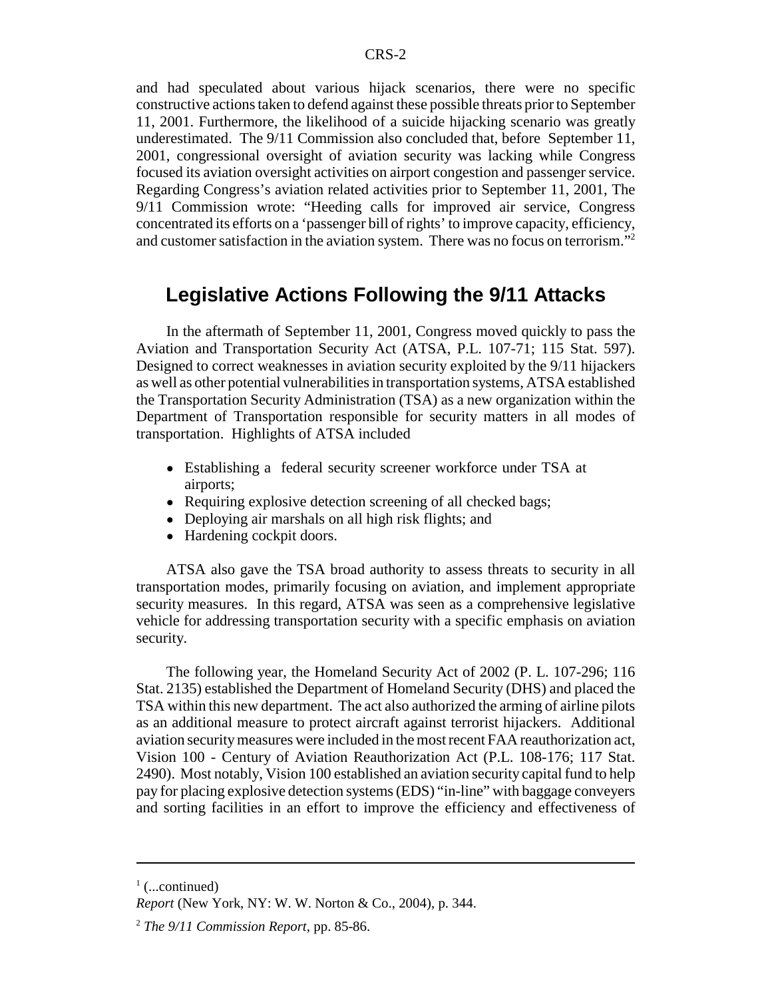and had speculated about various hijack scenarios, there were no specific constructive actions taken to defend against these possible threats prior to September 11, 2001. Furthermore, the likelihood of a suicide hijacking scenario was greatly underestimated. The 9/11 Commission also concluded that, before September 11, 2001, congressional oversight of aviation security was lacking while Congress focused its aviation oversight activities on airport congestion and passenger service. Regarding Congress's aviation related activities prior to September 11, 2001, The 9/11 Commission wrote: "Heeding calls for improved air service, Congress concentrated its efforts on a 'passenger bill of rights' to improve capacity, efficiency, and customer satisfaction in the aviation system. There was no focus on terrorism."<sup>2</sup>

## **Legislative Actions Following the 9/11 Attacks**

In the aftermath of September 11, 2001, Congress moved quickly to pass the Aviation and Transportation Security Act (ATSA, P.L. 107-71; 115 Stat. 597). Designed to correct weaknesses in aviation security exploited by the 9/11 hijackers as well as other potential vulnerabilities in transportation systems, ATSA established the Transportation Security Administration (TSA) as a new organization within the Department of Transportation responsible for security matters in all modes of transportation. Highlights of ATSA included

- ! Establishing a federal security screener workforce under TSA at airports;
- Requiring explosive detection screening of all checked bags;
- Deploying air marshals on all high risk flights; and
- Hardening cockpit doors.

ATSA also gave the TSA broad authority to assess threats to security in all transportation modes, primarily focusing on aviation, and implement appropriate security measures. In this regard, ATSA was seen as a comprehensive legislative vehicle for addressing transportation security with a specific emphasis on aviation security.

The following year, the Homeland Security Act of 2002 (P. L. 107-296; 116 Stat. 2135) established the Department of Homeland Security (DHS) and placed the TSA within this new department. The act also authorized the arming of airline pilots as an additional measure to protect aircraft against terrorist hijackers. Additional aviation security measures were included in the most recent FAA reauthorization act, Vision 100 - Century of Aviation Reauthorization Act (P.L. 108-176; 117 Stat. 2490). Most notably, Vision 100 established an aviation security capital fund to help pay for placing explosive detection systems (EDS) "in-line" with baggage conveyers and sorting facilities in an effort to improve the efficiency and effectiveness of

 $\frac{1}{1}$  (...continued)

*Report* (New York, NY: W. W. Norton & Co., 2004), p. 344.

<sup>2</sup> *The 9/11 Commission Report*, pp. 85-86.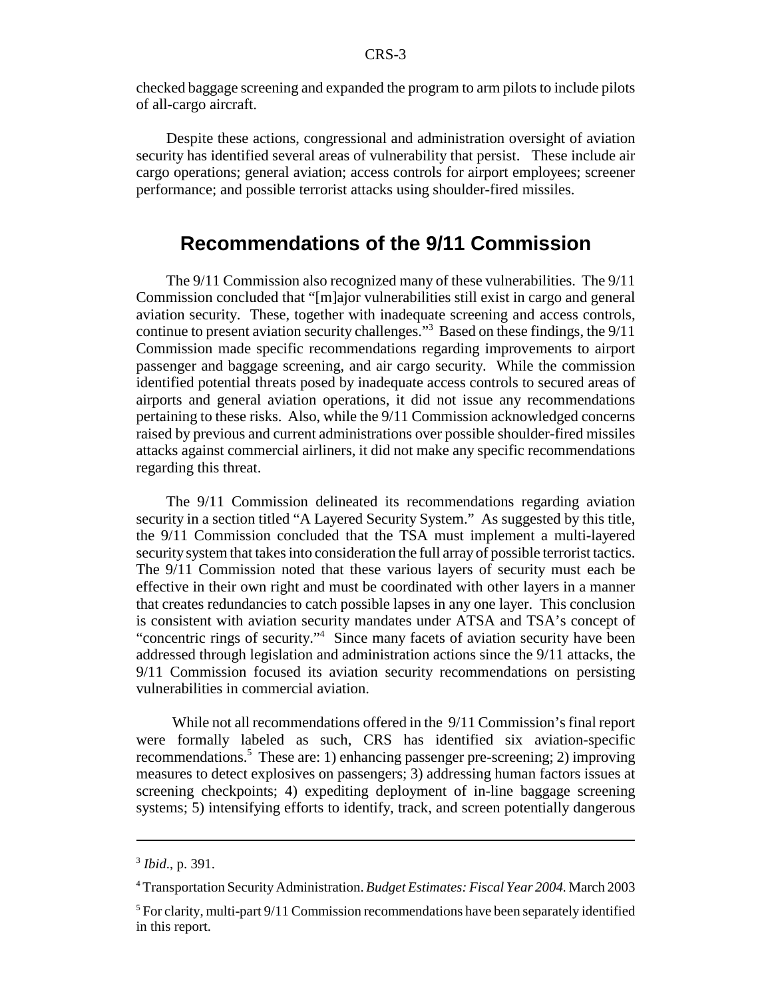checked baggage screening and expanded the program to arm pilots to include pilots of all-cargo aircraft.

Despite these actions, congressional and administration oversight of aviation security has identified several areas of vulnerability that persist. These include air cargo operations; general aviation; access controls for airport employees; screener performance; and possible terrorist attacks using shoulder-fired missiles.

### **Recommendations of the 9/11 Commission**

The 9/11 Commission also recognized many of these vulnerabilities. The 9/11 Commission concluded that "[m]ajor vulnerabilities still exist in cargo and general aviation security. These, together with inadequate screening and access controls, continue to present aviation security challenges."3 Based on these findings, the 9/11 Commission made specific recommendations regarding improvements to airport passenger and baggage screening, and air cargo security. While the commission identified potential threats posed by inadequate access controls to secured areas of airports and general aviation operations, it did not issue any recommendations pertaining to these risks. Also, while the 9/11 Commission acknowledged concerns raised by previous and current administrations over possible shoulder-fired missiles attacks against commercial airliners, it did not make any specific recommendations regarding this threat.

The 9/11 Commission delineated its recommendations regarding aviation security in a section titled "A Layered Security System." As suggested by this title, the 9/11 Commission concluded that the TSA must implement a multi-layered security system that takes into consideration the full array of possible terrorist tactics. The 9/11 Commission noted that these various layers of security must each be effective in their own right and must be coordinated with other layers in a manner that creates redundancies to catch possible lapses in any one layer. This conclusion is consistent with aviation security mandates under ATSA and TSA's concept of "concentric rings of security."<sup>4</sup> Since many facets of aviation security have been addressed through legislation and administration actions since the 9/11 attacks, the 9/11 Commission focused its aviation security recommendations on persisting vulnerabilities in commercial aviation.

 While not all recommendations offered in the 9/11 Commission's final report were formally labeled as such, CRS has identified six aviation-specific recommendations.<sup>5</sup> These are: 1) enhancing passenger pre-screening; 2) improving measures to detect explosives on passengers; 3) addressing human factors issues at screening checkpoints; 4) expediting deployment of in-line baggage screening systems; 5) intensifying efforts to identify, track, and screen potentially dangerous

<sup>3</sup> *Ibid*., p. 391.

<sup>4</sup> Transportation Security Administration. *Budget Estimates: Fiscal Year 2004.* March 2003

<sup>&</sup>lt;sup>5</sup> For clarity, multi-part 9/11 Commission recommendations have been separately identified in this report.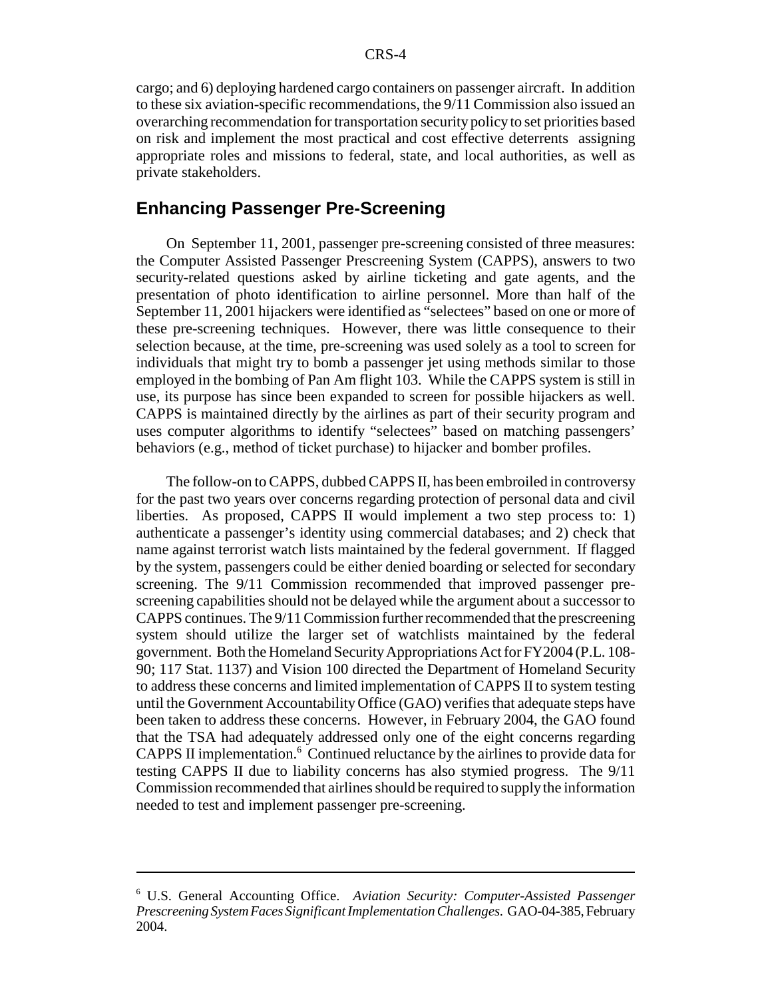cargo; and 6) deploying hardened cargo containers on passenger aircraft. In addition to these six aviation-specific recommendations, the 9/11 Commission also issued an overarching recommendation for transportation security policy to set priorities based on risk and implement the most practical and cost effective deterrents assigning appropriate roles and missions to federal, state, and local authorities, as well as private stakeholders.

#### **Enhancing Passenger Pre-Screening**

On September 11, 2001, passenger pre-screening consisted of three measures: the Computer Assisted Passenger Prescreening System (CAPPS), answers to two security-related questions asked by airline ticketing and gate agents, and the presentation of photo identification to airline personnel. More than half of the September 11, 2001 hijackers were identified as "selectees" based on one or more of these pre-screening techniques. However, there was little consequence to their selection because, at the time, pre-screening was used solely as a tool to screen for individuals that might try to bomb a passenger jet using methods similar to those employed in the bombing of Pan Am flight 103. While the CAPPS system is still in use, its purpose has since been expanded to screen for possible hijackers as well. CAPPS is maintained directly by the airlines as part of their security program and uses computer algorithms to identify "selectees" based on matching passengers' behaviors (e.g., method of ticket purchase) to hijacker and bomber profiles.

The follow-on to CAPPS, dubbed CAPPS II, has been embroiled in controversy for the past two years over concerns regarding protection of personal data and civil liberties. As proposed, CAPPS II would implement a two step process to: 1) authenticate a passenger's identity using commercial databases; and 2) check that name against terrorist watch lists maintained by the federal government. If flagged by the system, passengers could be either denied boarding or selected for secondary screening. The 9/11 Commission recommended that improved passenger prescreening capabilities should not be delayed while the argument about a successor to CAPPS continues. The 9/11 Commission further recommended that the prescreening system should utilize the larger set of watchlists maintained by the federal government. Both the Homeland Security Appropriations Act for FY2004 (P.L. 108- 90; 117 Stat. 1137) and Vision 100 directed the Department of Homeland Security to address these concerns and limited implementation of CAPPS II to system testing until the Government Accountability Office (GAO) verifies that adequate steps have been taken to address these concerns. However, in February 2004, the GAO found that the TSA had adequately addressed only one of the eight concerns regarding CAPPS II implementation.<sup>6</sup> Continued reluctance by the airlines to provide data for testing CAPPS II due to liability concerns has also stymied progress. The 9/11 Commission recommended that airlines should be required to supply the information needed to test and implement passenger pre-screening.

<sup>6</sup> U.S. General Accounting Office. *Aviation Security: Computer-Assisted Passenger Prescreening System Faces Significant Implementation Challenges.* GAO-04-385, February 2004.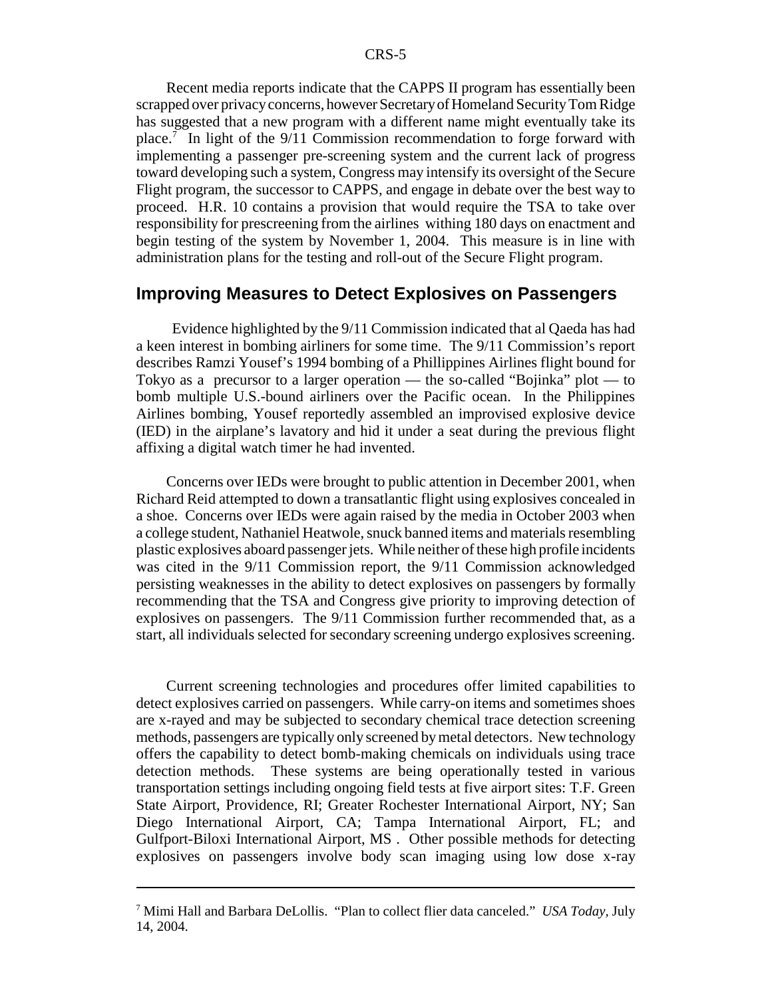Recent media reports indicate that the CAPPS II program has essentially been scrapped over privacy concerns, however Secretary of Homeland Security Tom Ridge has suggested that a new program with a different name might eventually take its place.<sup>7</sup> In light of the 9/11 Commission recommendation to forge forward with implementing a passenger pre-screening system and the current lack of progress toward developing such a system, Congress may intensify its oversight of the Secure Flight program, the successor to CAPPS, and engage in debate over the best way to proceed. H.R. 10 contains a provision that would require the TSA to take over responsibility for prescreening from the airlines withing 180 days on enactment and begin testing of the system by November 1, 2004. This measure is in line with administration plans for the testing and roll-out of the Secure Flight program.

#### **Improving Measures to Detect Explosives on Passengers**

 Evidence highlighted by the 9/11 Commission indicated that al Qaeda has had a keen interest in bombing airliners for some time. The 9/11 Commission's report describes Ramzi Yousef's 1994 bombing of a Phillippines Airlines flight bound for Tokyo as a precursor to a larger operation — the so-called "Bojinka" plot — to bomb multiple U.S.-bound airliners over the Pacific ocean. In the Philippines Airlines bombing, Yousef reportedly assembled an improvised explosive device (IED) in the airplane's lavatory and hid it under a seat during the previous flight affixing a digital watch timer he had invented.

Concerns over IEDs were brought to public attention in December 2001, when Richard Reid attempted to down a transatlantic flight using explosives concealed in a shoe. Concerns over IEDs were again raised by the media in October 2003 when a college student, Nathaniel Heatwole, snuck banned items and materials resembling plastic explosives aboard passenger jets. While neither of these high profile incidents was cited in the 9/11 Commission report, the 9/11 Commission acknowledged persisting weaknesses in the ability to detect explosives on passengers by formally recommending that the TSA and Congress give priority to improving detection of explosives on passengers. The 9/11 Commission further recommended that, as a start, all individuals selected for secondary screening undergo explosives screening.

Current screening technologies and procedures offer limited capabilities to detect explosives carried on passengers. While carry-on items and sometimes shoes are x-rayed and may be subjected to secondary chemical trace detection screening methods, passengers are typically only screened by metal detectors. New technology offers the capability to detect bomb-making chemicals on individuals using trace detection methods. These systems are being operationally tested in various transportation settings including ongoing field tests at five airport sites: T.F. Green State Airport, Providence, RI; Greater Rochester International Airport, NY; San Diego International Airport, CA; Tampa International Airport, FL; and Gulfport-Biloxi International Airport, MS . Other possible methods for detecting explosives on passengers involve body scan imaging using low dose x-ray

<sup>7</sup> Mimi Hall and Barbara DeLollis. "Plan to collect flier data canceled." *USA Today,* July 14, 2004.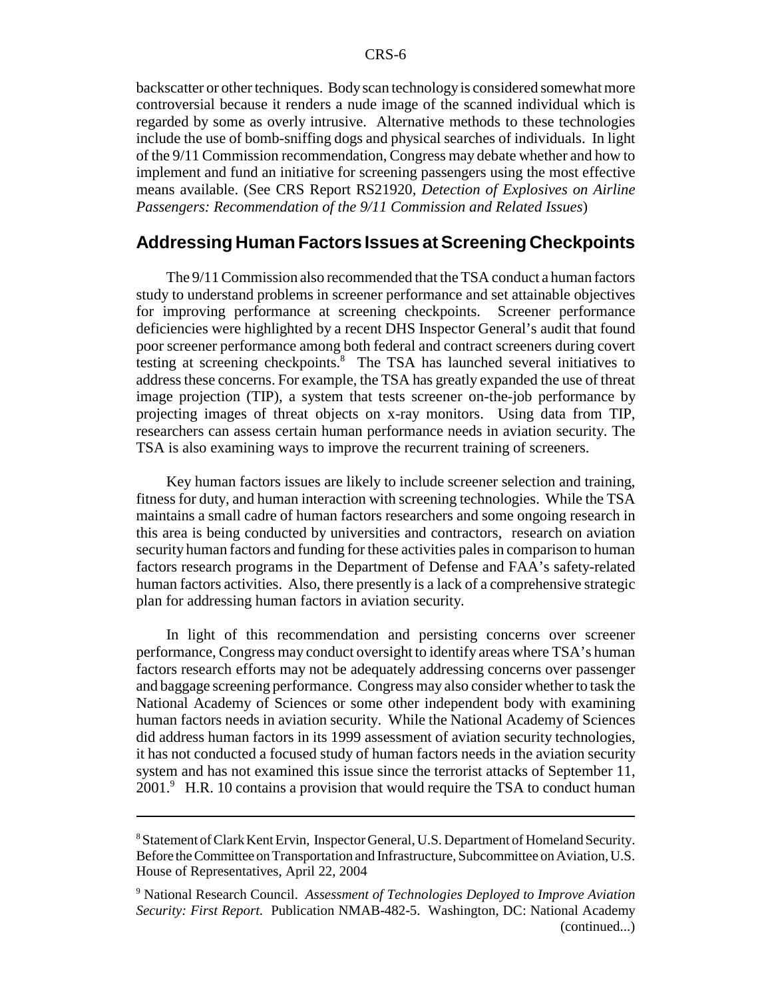backscatter or other techniques. Body scan technology is considered somewhat more controversial because it renders a nude image of the scanned individual which is regarded by some as overly intrusive. Alternative methods to these technologies include the use of bomb-sniffing dogs and physical searches of individuals. In light of the 9/11 Commission recommendation, Congress may debate whether and how to implement and fund an initiative for screening passengers using the most effective means available. (See CRS Report RS21920, *Detection of Explosives on Airline Passengers: Recommendation of the 9/11 Commission and Related Issues*)

#### **Addressing Human Factors Issues at Screening Checkpoints**

The 9/11 Commission also recommended that the TSA conduct a human factors study to understand problems in screener performance and set attainable objectives for improving performance at screening checkpoints. Screener performance deficiencies were highlighted by a recent DHS Inspector General's audit that found poor screener performance among both federal and contract screeners during covert testing at screening checkpoints.<sup>8</sup> The TSA has launched several initiatives to address these concerns. For example, the TSA has greatly expanded the use of threat image projection (TIP), a system that tests screener on-the-job performance by projecting images of threat objects on x-ray monitors. Using data from TIP, researchers can assess certain human performance needs in aviation security. The TSA is also examining ways to improve the recurrent training of screeners.

Key human factors issues are likely to include screener selection and training, fitness for duty, and human interaction with screening technologies. While the TSA maintains a small cadre of human factors researchers and some ongoing research in this area is being conducted by universities and contractors, research on aviation security human factors and funding for these activities pales in comparison to human factors research programs in the Department of Defense and FAA's safety-related human factors activities. Also, there presently is a lack of a comprehensive strategic plan for addressing human factors in aviation security.

In light of this recommendation and persisting concerns over screener performance, Congress may conduct oversight to identify areas where TSA's human factors research efforts may not be adequately addressing concerns over passenger and baggage screening performance. Congress may also consider whether to task the National Academy of Sciences or some other independent body with examining human factors needs in aviation security. While the National Academy of Sciences did address human factors in its 1999 assessment of aviation security technologies, it has not conducted a focused study of human factors needs in the aviation security system and has not examined this issue since the terrorist attacks of September 11, 2001.<sup>9</sup> H.R. 10 contains a provision that would require the TSA to conduct human

<sup>&</sup>lt;sup>8</sup> Statement of Clark Kent Ervin, Inspector General, U.S. Department of Homeland Security. Before the Committee on Transportation and Infrastructure, Subcommittee on Aviation, U.S. House of Representatives, April 22, 2004

<sup>9</sup> National Research Council. *Assessment of Technologies Deployed to Improve Aviation Security: First Report.* Publication NMAB-482-5. Washington, DC: National Academy (continued...)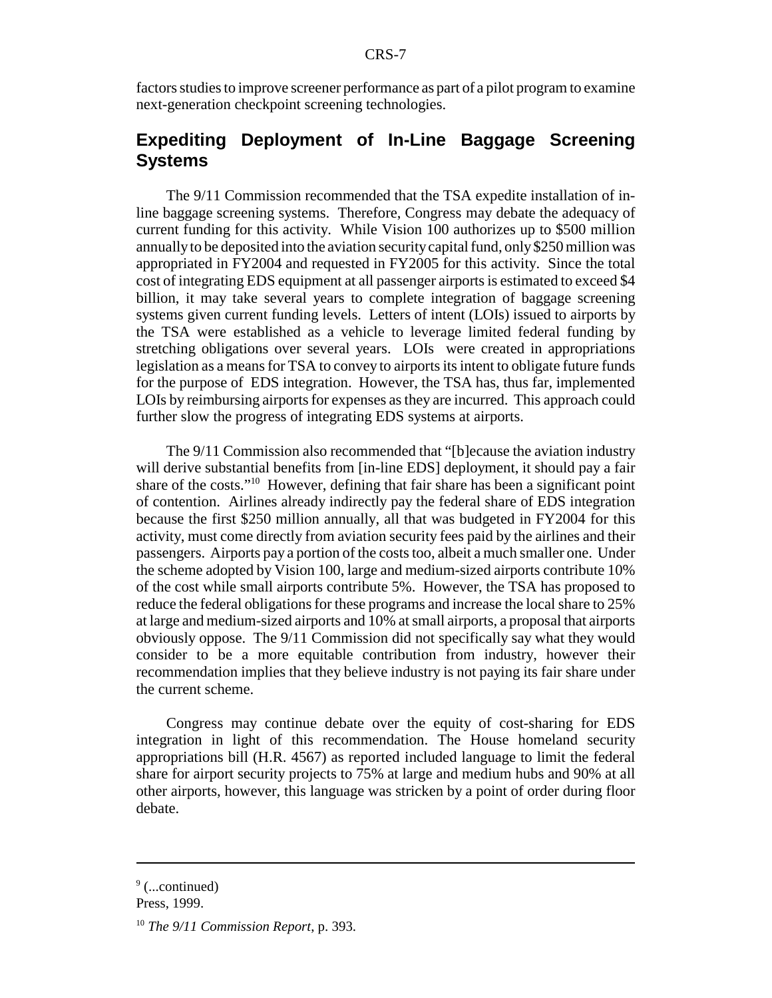factors studies to improve screener performance as part of a pilot program to examine next-generation checkpoint screening technologies.

### **Expediting Deployment of In-Line Baggage Screening Systems**

The 9/11 Commission recommended that the TSA expedite installation of inline baggage screening systems. Therefore, Congress may debate the adequacy of current funding for this activity. While Vision 100 authorizes up to \$500 million annually to be deposited into the aviation security capital fund, only \$250 million was appropriated in FY2004 and requested in FY2005 for this activity. Since the total cost of integrating EDS equipment at all passenger airports is estimated to exceed \$4 billion, it may take several years to complete integration of baggage screening systems given current funding levels. Letters of intent (LOIs) issued to airports by the TSA were established as a vehicle to leverage limited federal funding by stretching obligations over several years. LOIs were created in appropriations legislation as a means for TSA to convey to airports its intent to obligate future funds for the purpose of EDS integration. However, the TSA has, thus far, implemented LOIs by reimbursing airports for expenses as they are incurred. This approach could further slow the progress of integrating EDS systems at airports.

The 9/11 Commission also recommended that "[b]ecause the aviation industry will derive substantial benefits from [in-line EDS] deployment, it should pay a fair share of the costs."10 However, defining that fair share has been a significant point of contention. Airlines already indirectly pay the federal share of EDS integration because the first \$250 million annually, all that was budgeted in FY2004 for this activity, must come directly from aviation security fees paid by the airlines and their passengers. Airports pay a portion of the costs too, albeit a much smaller one. Under the scheme adopted by Vision 100, large and medium-sized airports contribute 10% of the cost while small airports contribute 5%. However, the TSA has proposed to reduce the federal obligations for these programs and increase the local share to 25% at large and medium-sized airports and 10% at small airports, a proposal that airports obviously oppose. The 9/11 Commission did not specifically say what they would consider to be a more equitable contribution from industry, however their recommendation implies that they believe industry is not paying its fair share under the current scheme.

Congress may continue debate over the equity of cost-sharing for EDS integration in light of this recommendation. The House homeland security appropriations bill (H.R. 4567) as reported included language to limit the federal share for airport security projects to 75% at large and medium hubs and 90% at all other airports, however, this language was stricken by a point of order during floor debate.

<sup>&</sup>lt;sup>9</sup> (...continued)

Press, 1999.

<sup>10</sup> *The 9/11 Commission Report*, p. 393.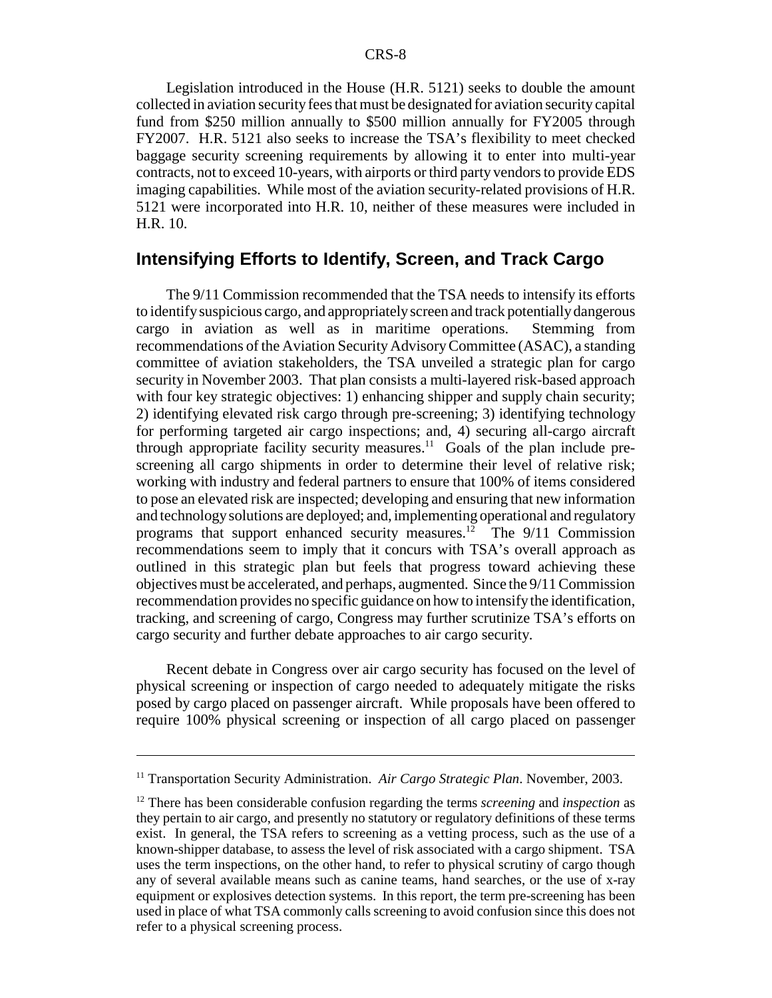Legislation introduced in the House (H.R. 5121) seeks to double the amount collected in aviation security fees that must be designated for aviation security capital fund from \$250 million annually to \$500 million annually for FY2005 through FY2007. H.R. 5121 also seeks to increase the TSA's flexibility to meet checked baggage security screening requirements by allowing it to enter into multi-year contracts, not to exceed 10-years, with airports or third party vendors to provide EDS imaging capabilities. While most of the aviation security-related provisions of H.R. 5121 were incorporated into H.R. 10, neither of these measures were included in H.R. 10.

#### **Intensifying Efforts to Identify, Screen, and Track Cargo**

The 9/11 Commission recommended that the TSA needs to intensify its efforts to identify suspicious cargo, and appropriately screen and track potentially dangerous cargo in aviation as well as in maritime operations. Stemming from recommendations of the Aviation Security Advisory Committee (ASAC), a standing committee of aviation stakeholders, the TSA unveiled a strategic plan for cargo security in November 2003. That plan consists a multi-layered risk-based approach with four key strategic objectives: 1) enhancing shipper and supply chain security; 2) identifying elevated risk cargo through pre-screening; 3) identifying technology for performing targeted air cargo inspections; and, 4) securing all-cargo aircraft through appropriate facility security measures.<sup>11</sup> Goals of the plan include prescreening all cargo shipments in order to determine their level of relative risk; working with industry and federal partners to ensure that 100% of items considered to pose an elevated risk are inspected; developing and ensuring that new information and technology solutions are deployed; and, implementing operational and regulatory programs that support enhanced security measures.12 The 9/11 Commission recommendations seem to imply that it concurs with TSA's overall approach as outlined in this strategic plan but feels that progress toward achieving these objectives must be accelerated, and perhaps, augmented. Since the 9/11 Commission recommendation provides no specific guidance on how to intensify the identification, tracking, and screening of cargo, Congress may further scrutinize TSA's efforts on cargo security and further debate approaches to air cargo security.

Recent debate in Congress over air cargo security has focused on the level of physical screening or inspection of cargo needed to adequately mitigate the risks posed by cargo placed on passenger aircraft. While proposals have been offered to require 100% physical screening or inspection of all cargo placed on passenger

<sup>&</sup>lt;sup>11</sup> Transportation Security Administration. *Air Cargo Strategic Plan*. November, 2003.

<sup>12</sup> There has been considerable confusion regarding the terms *screening* and *inspection* as they pertain to air cargo, and presently no statutory or regulatory definitions of these terms exist. In general, the TSA refers to screening as a vetting process, such as the use of a known-shipper database, to assess the level of risk associated with a cargo shipment. TSA uses the term inspections, on the other hand, to refer to physical scrutiny of cargo though any of several available means such as canine teams, hand searches, or the use of x-ray equipment or explosives detection systems. In this report, the term pre-screening has been used in place of what TSA commonly calls screening to avoid confusion since this does not refer to a physical screening process.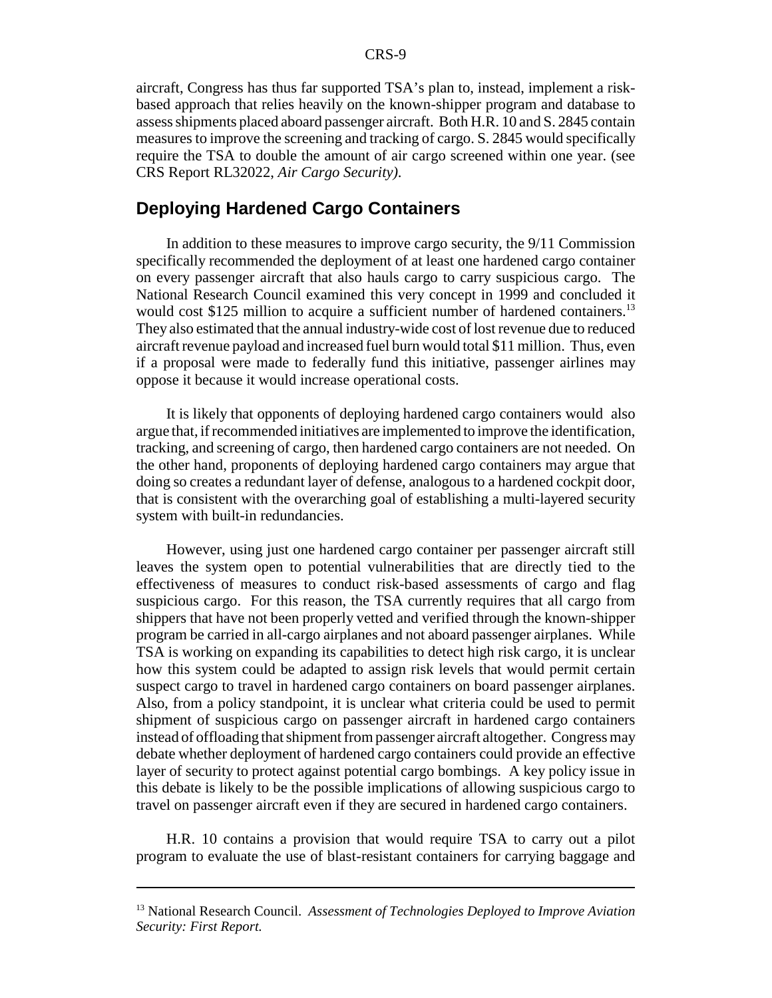aircraft, Congress has thus far supported TSA's plan to, instead, implement a riskbased approach that relies heavily on the known-shipper program and database to assess shipments placed aboard passenger aircraft. Both H.R. 10 and S. 2845 contain measures to improve the screening and tracking of cargo. S. 2845 would specifically require the TSA to double the amount of air cargo screened within one year. (see CRS Report RL32022, *Air Cargo Security)*.

#### **Deploying Hardened Cargo Containers**

In addition to these measures to improve cargo security, the 9/11 Commission specifically recommended the deployment of at least one hardened cargo container on every passenger aircraft that also hauls cargo to carry suspicious cargo. The National Research Council examined this very concept in 1999 and concluded it would cost \$125 million to acquire a sufficient number of hardened containers.<sup>13</sup> They also estimated that the annual industry-wide cost of lost revenue due to reduced aircraft revenue payload and increased fuel burn would total \$11 million. Thus, even if a proposal were made to federally fund this initiative, passenger airlines may oppose it because it would increase operational costs.

It is likely that opponents of deploying hardened cargo containers would also argue that, if recommended initiatives are implemented to improve the identification, tracking, and screening of cargo, then hardened cargo containers are not needed. On the other hand, proponents of deploying hardened cargo containers may argue that doing so creates a redundant layer of defense, analogous to a hardened cockpit door, that is consistent with the overarching goal of establishing a multi-layered security system with built-in redundancies.

However, using just one hardened cargo container per passenger aircraft still leaves the system open to potential vulnerabilities that are directly tied to the effectiveness of measures to conduct risk-based assessments of cargo and flag suspicious cargo. For this reason, the TSA currently requires that all cargo from shippers that have not been properly vetted and verified through the known-shipper program be carried in all-cargo airplanes and not aboard passenger airplanes. While TSA is working on expanding its capabilities to detect high risk cargo, it is unclear how this system could be adapted to assign risk levels that would permit certain suspect cargo to travel in hardened cargo containers on board passenger airplanes. Also, from a policy standpoint, it is unclear what criteria could be used to permit shipment of suspicious cargo on passenger aircraft in hardened cargo containers instead of offloading that shipment from passenger aircraft altogether. Congress may debate whether deployment of hardened cargo containers could provide an effective layer of security to protect against potential cargo bombings. A key policy issue in this debate is likely to be the possible implications of allowing suspicious cargo to travel on passenger aircraft even if they are secured in hardened cargo containers.

H.R. 10 contains a provision that would require TSA to carry out a pilot program to evaluate the use of blast-resistant containers for carrying baggage and

<sup>13</sup> National Research Council. *Assessment of Technologies Deployed to Improve Aviation Security: First Report.*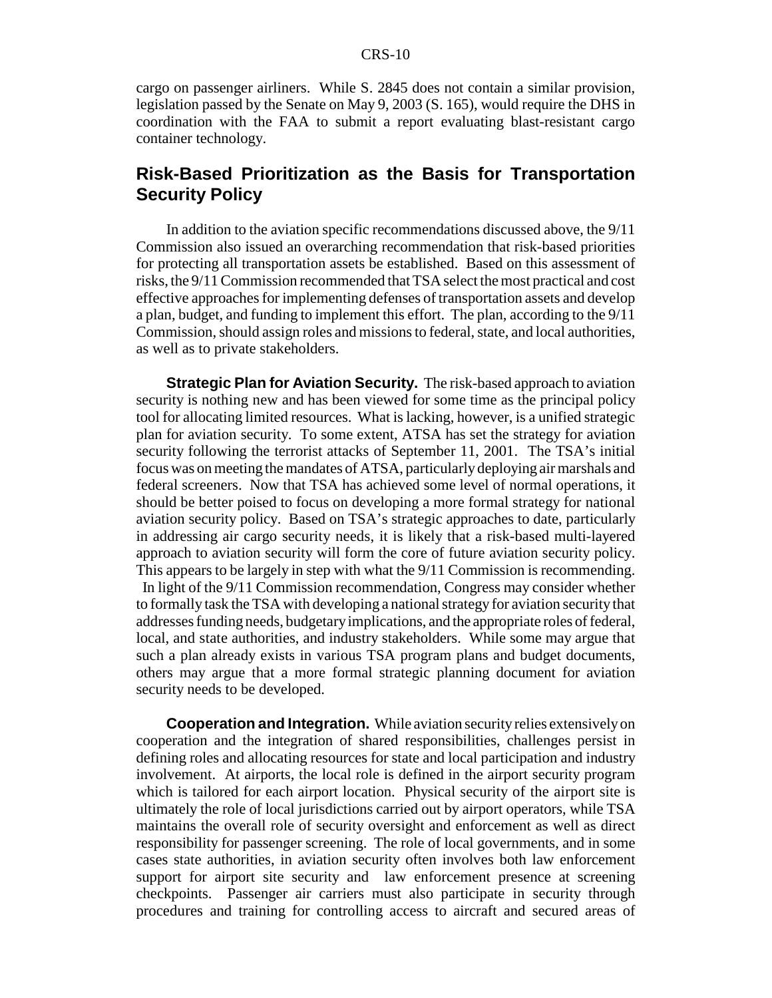cargo on passenger airliners. While S. 2845 does not contain a similar provision, legislation passed by the Senate on May 9, 2003 (S. 165), would require the DHS in coordination with the FAA to submit a report evaluating blast-resistant cargo container technology.

### **Risk-Based Prioritization as the Basis for Transportation Security Policy**

In addition to the aviation specific recommendations discussed above, the 9/11 Commission also issued an overarching recommendation that risk-based priorities for protecting all transportation assets be established. Based on this assessment of risks, the 9/11 Commission recommended that TSA select the most practical and cost effective approaches for implementing defenses of transportation assets and develop a plan, budget, and funding to implement this effort. The plan, according to the 9/11 Commission, should assign roles and missions to federal, state, and local authorities, as well as to private stakeholders.

**Strategic Plan for Aviation Security.** The risk-based approach to aviation security is nothing new and has been viewed for some time as the principal policy tool for allocating limited resources. What is lacking, however, is a unified strategic plan for aviation security. To some extent, ATSA has set the strategy for aviation security following the terrorist attacks of September 11, 2001. The TSA's initial focus was on meeting the mandates of ATSA, particularly deploying air marshals and federal screeners. Now that TSA has achieved some level of normal operations, it should be better poised to focus on developing a more formal strategy for national aviation security policy. Based on TSA's strategic approaches to date, particularly in addressing air cargo security needs, it is likely that a risk-based multi-layered approach to aviation security will form the core of future aviation security policy. This appears to be largely in step with what the 9/11 Commission is recommending. In light of the 9/11 Commission recommendation, Congress may consider whether to formally task the TSA with developing a national strategy for aviation security that addresses funding needs, budgetary implications, and the appropriate roles of federal, local, and state authorities, and industry stakeholders. While some may argue that such a plan already exists in various TSA program plans and budget documents, others may argue that a more formal strategic planning document for aviation security needs to be developed.

**Cooperation and Integration.** While aviation security relies extensively on cooperation and the integration of shared responsibilities, challenges persist in defining roles and allocating resources for state and local participation and industry involvement. At airports, the local role is defined in the airport security program which is tailored for each airport location. Physical security of the airport site is ultimately the role of local jurisdictions carried out by airport operators, while TSA maintains the overall role of security oversight and enforcement as well as direct responsibility for passenger screening. The role of local governments, and in some cases state authorities, in aviation security often involves both law enforcement support for airport site security and law enforcement presence at screening checkpoints. Passenger air carriers must also participate in security through procedures and training for controlling access to aircraft and secured areas of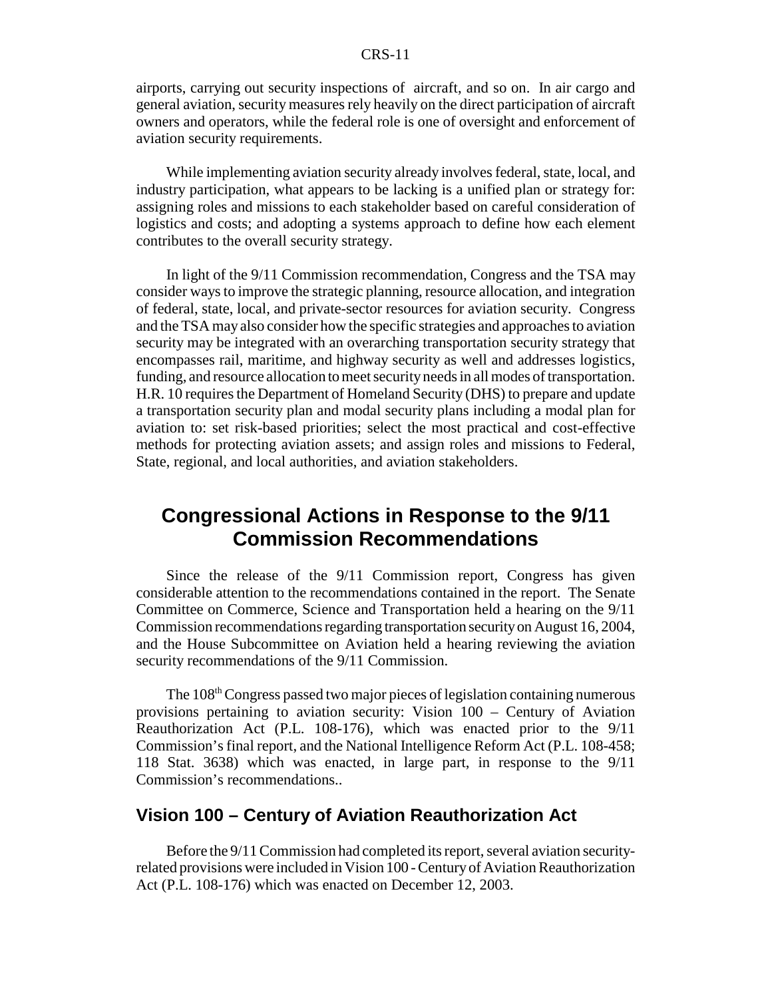airports, carrying out security inspections of aircraft, and so on. In air cargo and general aviation, security measures rely heavily on the direct participation of aircraft owners and operators, while the federal role is one of oversight and enforcement of aviation security requirements.

While implementing aviation security already involves federal, state, local, and industry participation, what appears to be lacking is a unified plan or strategy for: assigning roles and missions to each stakeholder based on careful consideration of logistics and costs; and adopting a systems approach to define how each element contributes to the overall security strategy.

In light of the 9/11 Commission recommendation, Congress and the TSA may consider ways to improve the strategic planning, resource allocation, and integration of federal, state, local, and private-sector resources for aviation security. Congress and the TSA may also consider how the specific strategies and approaches to aviation security may be integrated with an overarching transportation security strategy that encompasses rail, maritime, and highway security as well and addresses logistics, funding, and resource allocation to meet security needs in all modes of transportation. H.R. 10 requires the Department of Homeland Security (DHS) to prepare and update a transportation security plan and modal security plans including a modal plan for aviation to: set risk-based priorities; select the most practical and cost-effective methods for protecting aviation assets; and assign roles and missions to Federal, State, regional, and local authorities, and aviation stakeholders.

# **Congressional Actions in Response to the 9/11 Commission Recommendations**

Since the release of the 9/11 Commission report, Congress has given considerable attention to the recommendations contained in the report. The Senate Committee on Commerce, Science and Transportation held a hearing on the 9/11 Commission recommendations regarding transportation security on August 16, 2004, and the House Subcommittee on Aviation held a hearing reviewing the aviation security recommendations of the 9/11 Commission.

The 108<sup>th</sup> Congress passed two major pieces of legislation containing numerous provisions pertaining to aviation security: Vision 100 – Century of Aviation Reauthorization Act (P.L. 108-176), which was enacted prior to the 9/11 Commission's final report, and the National Intelligence Reform Act (P.L. 108-458; 118 Stat. 3638) which was enacted, in large part, in response to the 9/11 Commission's recommendations..

### **Vision 100 – Century of Aviation Reauthorization Act**

Before the 9/11 Commission had completed its report, several aviation securityrelated provisions were included in Vision 100 - Century of Aviation Reauthorization Act (P.L. 108-176) which was enacted on December 12, 2003.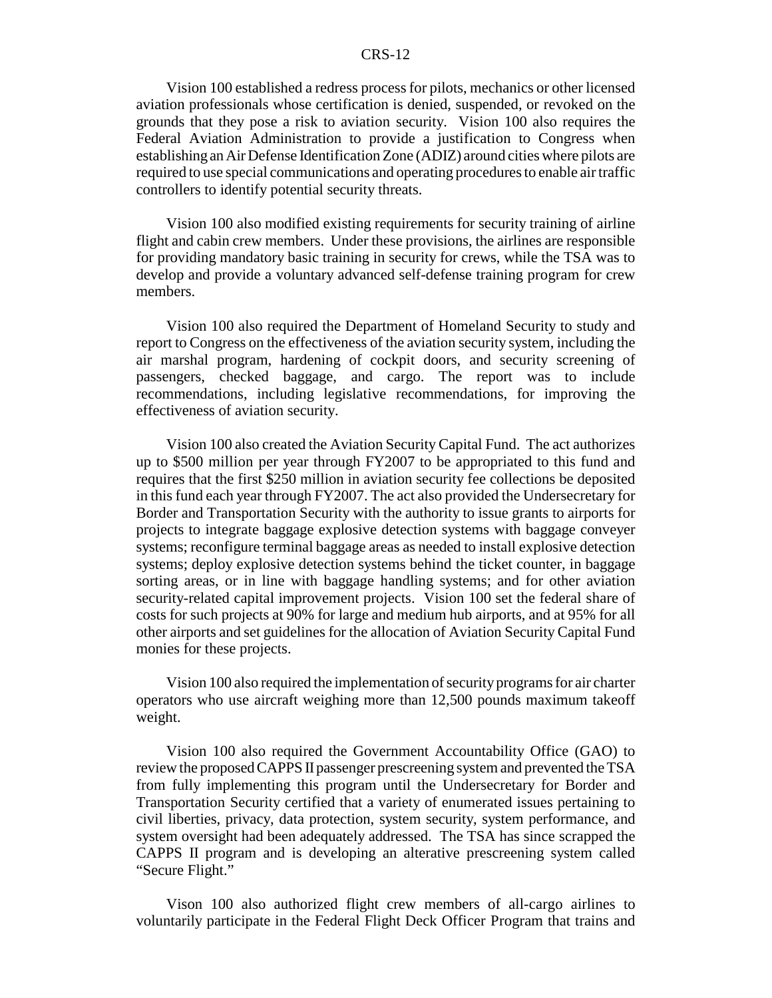Vision 100 established a redress process for pilots, mechanics or other licensed aviation professionals whose certification is denied, suspended, or revoked on the grounds that they pose a risk to aviation security. Vision 100 also requires the Federal Aviation Administration to provide a justification to Congress when establishing an Air Defense Identification Zone (ADIZ) around cities where pilots are required to use special communications and operating procedures to enable air traffic controllers to identify potential security threats.

Vision 100 also modified existing requirements for security training of airline flight and cabin crew members. Under these provisions, the airlines are responsible for providing mandatory basic training in security for crews, while the TSA was to develop and provide a voluntary advanced self-defense training program for crew members.

Vision 100 also required the Department of Homeland Security to study and report to Congress on the effectiveness of the aviation security system, including the air marshal program, hardening of cockpit doors, and security screening of passengers, checked baggage, and cargo. The report was to include recommendations, including legislative recommendations, for improving the effectiveness of aviation security.

Vision 100 also created the Aviation Security Capital Fund. The act authorizes up to \$500 million per year through FY2007 to be appropriated to this fund and requires that the first \$250 million in aviation security fee collections be deposited in this fund each year through FY2007. The act also provided the Undersecretary for Border and Transportation Security with the authority to issue grants to airports for projects to integrate baggage explosive detection systems with baggage conveyer systems; reconfigure terminal baggage areas as needed to install explosive detection systems; deploy explosive detection systems behind the ticket counter, in baggage sorting areas, or in line with baggage handling systems; and for other aviation security-related capital improvement projects. Vision 100 set the federal share of costs for such projects at 90% for large and medium hub airports, and at 95% for all other airports and set guidelines for the allocation of Aviation Security Capital Fund monies for these projects.

Vision 100 also required the implementation of security programs for air charter operators who use aircraft weighing more than 12,500 pounds maximum takeoff weight.

Vision 100 also required the Government Accountability Office (GAO) to review the proposed CAPPS II passenger prescreening system and prevented the TSA from fully implementing this program until the Undersecretary for Border and Transportation Security certified that a variety of enumerated issues pertaining to civil liberties, privacy, data protection, system security, system performance, and system oversight had been adequately addressed. The TSA has since scrapped the CAPPS II program and is developing an alterative prescreening system called "Secure Flight."

Vison 100 also authorized flight crew members of all-cargo airlines to voluntarily participate in the Federal Flight Deck Officer Program that trains and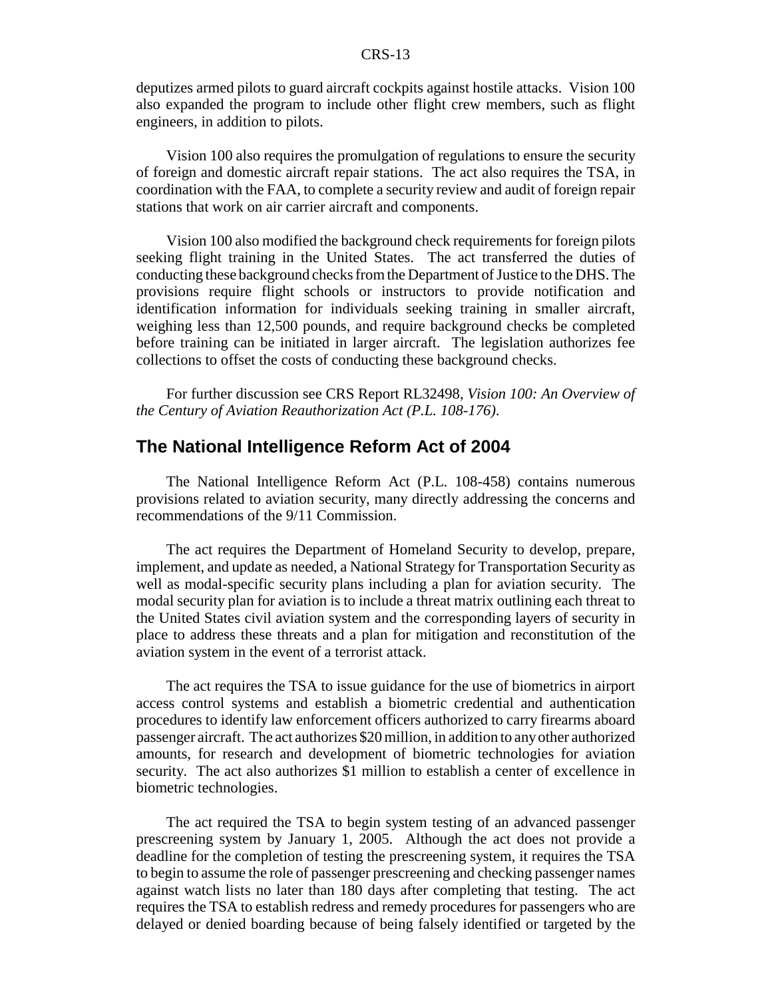deputizes armed pilots to guard aircraft cockpits against hostile attacks. Vision 100 also expanded the program to include other flight crew members, such as flight engineers, in addition to pilots.

Vision 100 also requires the promulgation of regulations to ensure the security of foreign and domestic aircraft repair stations. The act also requires the TSA, in coordination with the FAA, to complete a security review and audit of foreign repair stations that work on air carrier aircraft and components.

Vision 100 also modified the background check requirements for foreign pilots seeking flight training in the United States. The act transferred the duties of conducting these background checks from the Department of Justice to the DHS. The provisions require flight schools or instructors to provide notification and identification information for individuals seeking training in smaller aircraft, weighing less than 12,500 pounds, and require background checks be completed before training can be initiated in larger aircraft. The legislation authorizes fee collections to offset the costs of conducting these background checks.

For further discussion see CRS Report RL32498, *Vision 100: An Overview of the Century of Aviation Reauthorization Act (P.L. 108-176)*.

#### **The National Intelligence Reform Act of 2004**

The National Intelligence Reform Act (P.L. 108-458) contains numerous provisions related to aviation security, many directly addressing the concerns and recommendations of the 9/11 Commission.

The act requires the Department of Homeland Security to develop, prepare, implement, and update as needed, a National Strategy for Transportation Security as well as modal-specific security plans including a plan for aviation security. The modal security plan for aviation is to include a threat matrix outlining each threat to the United States civil aviation system and the corresponding layers of security in place to address these threats and a plan for mitigation and reconstitution of the aviation system in the event of a terrorist attack.

The act requires the TSA to issue guidance for the use of biometrics in airport access control systems and establish a biometric credential and authentication procedures to identify law enforcement officers authorized to carry firearms aboard passenger aircraft. The act authorizes \$20 million, in addition to any other authorized amounts, for research and development of biometric technologies for aviation security. The act also authorizes \$1 million to establish a center of excellence in biometric technologies.

The act required the TSA to begin system testing of an advanced passenger prescreening system by January 1, 2005. Although the act does not provide a deadline for the completion of testing the prescreening system, it requires the TSA to begin to assume the role of passenger prescreening and checking passenger names against watch lists no later than 180 days after completing that testing. The act requires the TSA to establish redress and remedy procedures for passengers who are delayed or denied boarding because of being falsely identified or targeted by the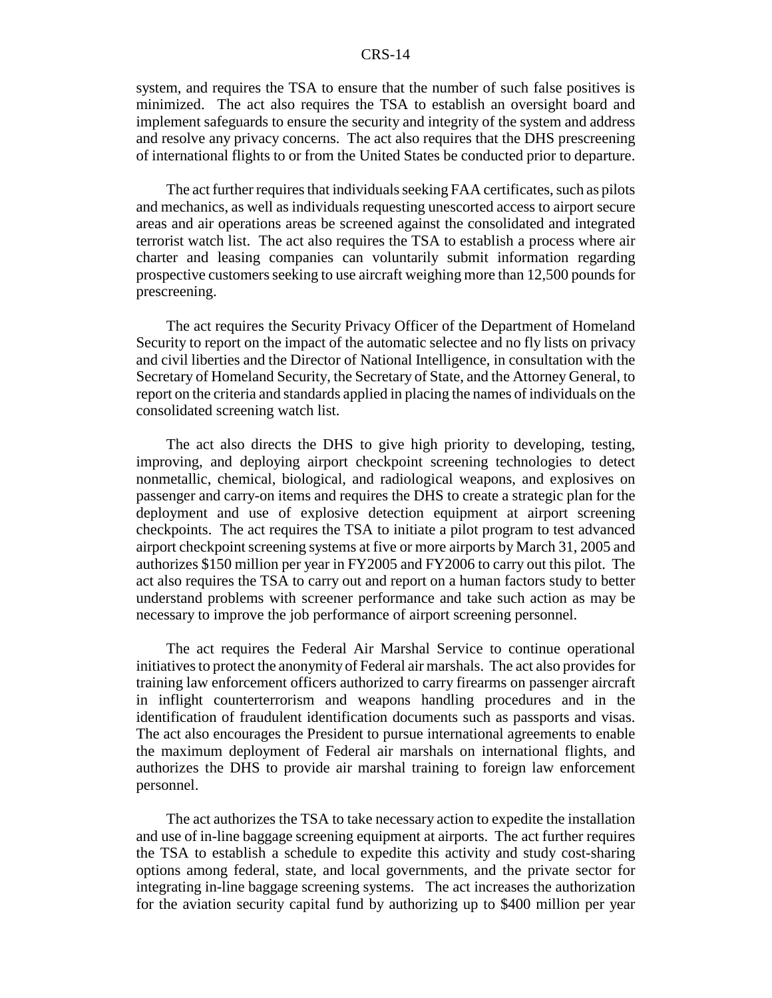system, and requires the TSA to ensure that the number of such false positives is minimized. The act also requires the TSA to establish an oversight board and implement safeguards to ensure the security and integrity of the system and address and resolve any privacy concerns. The act also requires that the DHS prescreening of international flights to or from the United States be conducted prior to departure.

The act further requires that individuals seeking FAA certificates, such as pilots and mechanics, as well as individuals requesting unescorted access to airport secure areas and air operations areas be screened against the consolidated and integrated terrorist watch list. The act also requires the TSA to establish a process where air charter and leasing companies can voluntarily submit information regarding prospective customers seeking to use aircraft weighing more than 12,500 pounds for prescreening.

The act requires the Security Privacy Officer of the Department of Homeland Security to report on the impact of the automatic selectee and no fly lists on privacy and civil liberties and the Director of National Intelligence, in consultation with the Secretary of Homeland Security, the Secretary of State, and the Attorney General, to report on the criteria and standards applied in placing the names of individuals on the consolidated screening watch list.

The act also directs the DHS to give high priority to developing, testing, improving, and deploying airport checkpoint screening technologies to detect nonmetallic, chemical, biological, and radiological weapons, and explosives on passenger and carry-on items and requires the DHS to create a strategic plan for the deployment and use of explosive detection equipment at airport screening checkpoints. The act requires the TSA to initiate a pilot program to test advanced airport checkpoint screening systems at five or more airports by March 31, 2005 and authorizes \$150 million per year in FY2005 and FY2006 to carry out this pilot. The act also requires the TSA to carry out and report on a human factors study to better understand problems with screener performance and take such action as may be necessary to improve the job performance of airport screening personnel.

The act requires the Federal Air Marshal Service to continue operational initiatives to protect the anonymity of Federal air marshals. The act also provides for training law enforcement officers authorized to carry firearms on passenger aircraft in inflight counterterrorism and weapons handling procedures and in the identification of fraudulent identification documents such as passports and visas. The act also encourages the President to pursue international agreements to enable the maximum deployment of Federal air marshals on international flights, and authorizes the DHS to provide air marshal training to foreign law enforcement personnel.

The act authorizes the TSA to take necessary action to expedite the installation and use of in-line baggage screening equipment at airports. The act further requires the TSA to establish a schedule to expedite this activity and study cost-sharing options among federal, state, and local governments, and the private sector for integrating in-line baggage screening systems. The act increases the authorization for the aviation security capital fund by authorizing up to \$400 million per year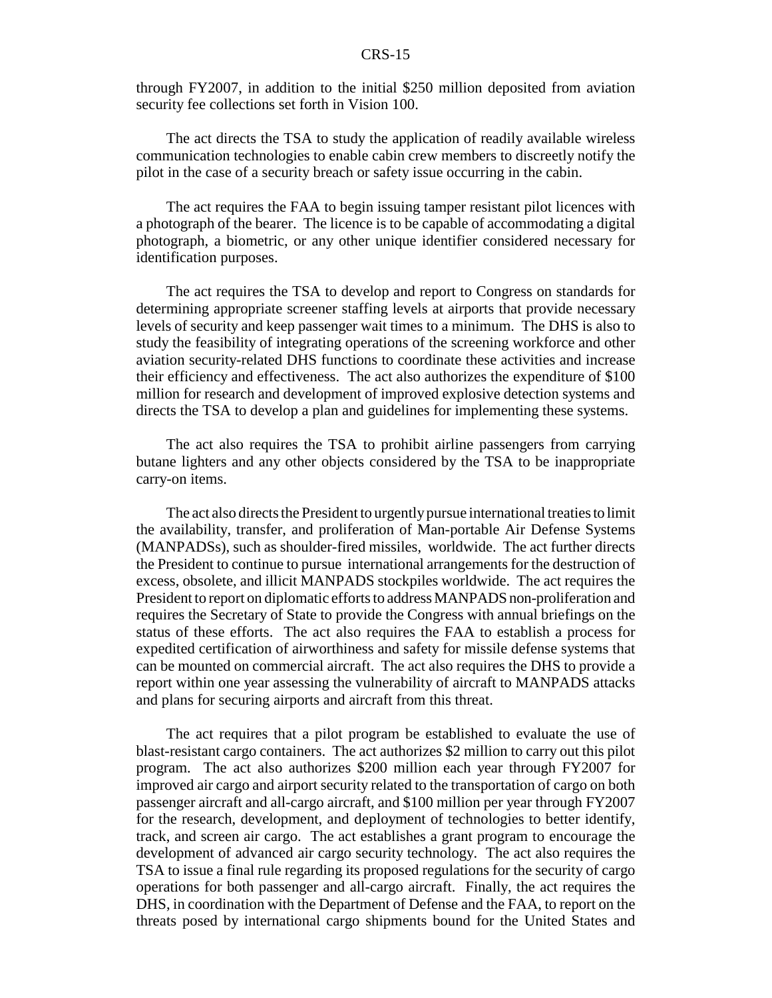through FY2007, in addition to the initial \$250 million deposited from aviation security fee collections set forth in Vision 100.

The act directs the TSA to study the application of readily available wireless communication technologies to enable cabin crew members to discreetly notify the pilot in the case of a security breach or safety issue occurring in the cabin.

The act requires the FAA to begin issuing tamper resistant pilot licences with a photograph of the bearer. The licence is to be capable of accommodating a digital photograph, a biometric, or any other unique identifier considered necessary for identification purposes.

The act requires the TSA to develop and report to Congress on standards for determining appropriate screener staffing levels at airports that provide necessary levels of security and keep passenger wait times to a minimum. The DHS is also to study the feasibility of integrating operations of the screening workforce and other aviation security-related DHS functions to coordinate these activities and increase their efficiency and effectiveness. The act also authorizes the expenditure of \$100 million for research and development of improved explosive detection systems and directs the TSA to develop a plan and guidelines for implementing these systems.

The act also requires the TSA to prohibit airline passengers from carrying butane lighters and any other objects considered by the TSA to be inappropriate carry-on items.

The act also directs the President to urgently pursue international treaties to limit the availability, transfer, and proliferation of Man-portable Air Defense Systems (MANPADSs), such as shoulder-fired missiles, worldwide. The act further directs the President to continue to pursue international arrangements for the destruction of excess, obsolete, and illicit MANPADS stockpiles worldwide. The act requires the President to report on diplomatic efforts to address MANPADS non-proliferation and requires the Secretary of State to provide the Congress with annual briefings on the status of these efforts. The act also requires the FAA to establish a process for expedited certification of airworthiness and safety for missile defense systems that can be mounted on commercial aircraft. The act also requires the DHS to provide a report within one year assessing the vulnerability of aircraft to MANPADS attacks and plans for securing airports and aircraft from this threat.

The act requires that a pilot program be established to evaluate the use of blast-resistant cargo containers. The act authorizes \$2 million to carry out this pilot program. The act also authorizes \$200 million each year through FY2007 for improved air cargo and airport security related to the transportation of cargo on both passenger aircraft and all-cargo aircraft, and \$100 million per year through FY2007 for the research, development, and deployment of technologies to better identify, track, and screen air cargo. The act establishes a grant program to encourage the development of advanced air cargo security technology. The act also requires the TSA to issue a final rule regarding its proposed regulations for the security of cargo operations for both passenger and all-cargo aircraft. Finally, the act requires the DHS, in coordination with the Department of Defense and the FAA, to report on the threats posed by international cargo shipments bound for the United States and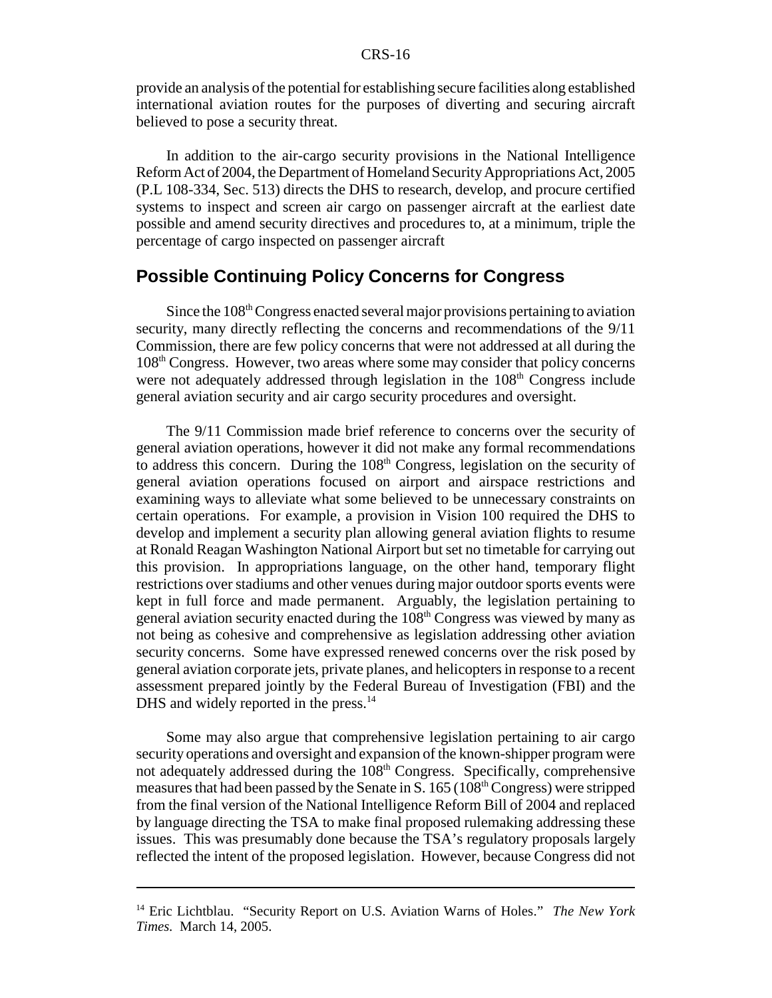provide an analysis of the potential for establishing secure facilities along established international aviation routes for the purposes of diverting and securing aircraft believed to pose a security threat.

In addition to the air-cargo security provisions in the National Intelligence Reform Act of 2004, the Department of Homeland Security Appropriations Act, 2005 (P.L 108-334, Sec. 513) directs the DHS to research, develop, and procure certified systems to inspect and screen air cargo on passenger aircraft at the earliest date possible and amend security directives and procedures to, at a minimum, triple the percentage of cargo inspected on passenger aircraft

### **Possible Continuing Policy Concerns for Congress**

Since the 108<sup>th</sup> Congress enacted several major provisions pertaining to aviation security, many directly reflecting the concerns and recommendations of the 9/11 Commission, there are few policy concerns that were not addressed at all during the 108th Congress. However, two areas where some may consider that policy concerns were not adequately addressed through legislation in the  $108<sup>th</sup>$  Congress include general aviation security and air cargo security procedures and oversight.

The 9/11 Commission made brief reference to concerns over the security of general aviation operations, however it did not make any formal recommendations to address this concern. During the 108<sup>th</sup> Congress, legislation on the security of general aviation operations focused on airport and airspace restrictions and examining ways to alleviate what some believed to be unnecessary constraints on certain operations. For example, a provision in Vision 100 required the DHS to develop and implement a security plan allowing general aviation flights to resume at Ronald Reagan Washington National Airport but set no timetable for carrying out this provision. In appropriations language, on the other hand, temporary flight restrictions over stadiums and other venues during major outdoor sports events were kept in full force and made permanent. Arguably, the legislation pertaining to general aviation security enacted during the 108<sup>th</sup> Congress was viewed by many as not being as cohesive and comprehensive as legislation addressing other aviation security concerns. Some have expressed renewed concerns over the risk posed by general aviation corporate jets, private planes, and helicopters in response to a recent assessment prepared jointly by the Federal Bureau of Investigation (FBI) and the DHS and widely reported in the press.<sup>14</sup>

Some may also argue that comprehensive legislation pertaining to air cargo security operations and oversight and expansion of the known-shipper program were not adequately addressed during the 108<sup>th</sup> Congress. Specifically, comprehensive measures that had been passed by the Senate in S.  $165 (108<sup>th</sup> Congress)$  were stripped from the final version of the National Intelligence Reform Bill of 2004 and replaced by language directing the TSA to make final proposed rulemaking addressing these issues. This was presumably done because the TSA's regulatory proposals largely reflected the intent of the proposed legislation. However, because Congress did not

<sup>14</sup> Eric Lichtblau. "Security Report on U.S. Aviation Warns of Holes." *The New York Times.* March 14, 2005.